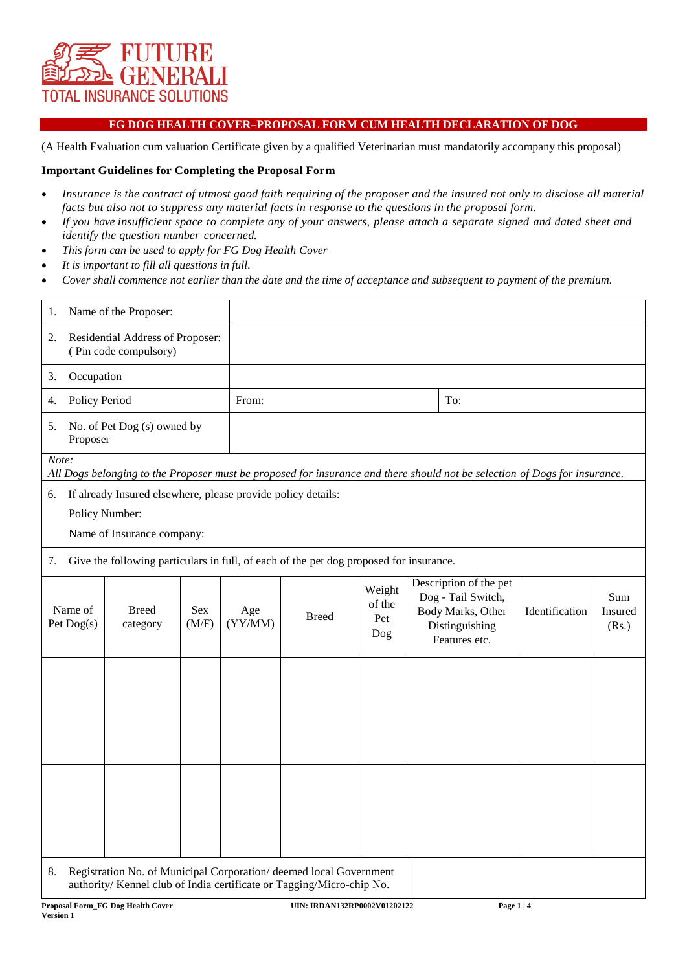

## **FG DOG HEALTH COVER–PROPOSAL FORM CUM HEALTH DECLARATION OF DOG**

(A Health Evaluation cum valuation Certificate given by a qualified Veterinarian must mandatorily accompany this proposal)

### **Important Guidelines for Completing the Proposal Form**

- *Insurance is the contract of utmost good faith requiring of the proposer and the insured not only to disclose all material facts but also not to suppress any material facts in response to the questions in the proposal form.*
- *If you have insufficient space to complete any of your answers, please attach a separate signed and dated sheet and identify the question number concerned.*
- *This form can be used to apply for FG Dog Health Cover*
- *It is important to fill all questions in full.*
- *Cover shall commence not earlier than the date and the time of acceptance and subsequent to payment of the premium.*

| Name of the Proposer:<br>1.                                                                                                         |                          |              |                |                                                                                                                                             |                                |  |                                                                                                      |                |                         |
|-------------------------------------------------------------------------------------------------------------------------------------|--------------------------|--------------|----------------|---------------------------------------------------------------------------------------------------------------------------------------------|--------------------------------|--|------------------------------------------------------------------------------------------------------|----------------|-------------------------|
| Residential Address of Proposer:<br>2.<br>(Pin code compulsory)                                                                     |                          |              |                |                                                                                                                                             |                                |  |                                                                                                      |                |                         |
| Occupation<br>3.                                                                                                                    |                          |              |                |                                                                                                                                             |                                |  |                                                                                                      |                |                         |
| 4.                                                                                                                                  | Policy Period            |              |                | From:                                                                                                                                       |                                |  | To:                                                                                                  |                |                         |
| No. of Pet Dog (s) owned by<br>5.<br>Proposer                                                                                       |                          |              |                |                                                                                                                                             |                                |  |                                                                                                      |                |                         |
| Note:<br>All Dogs belonging to the Proposer must be proposed for insurance and there should not be selection of Dogs for insurance. |                          |              |                |                                                                                                                                             |                                |  |                                                                                                      |                |                         |
| If already Insured elsewhere, please provide policy details:<br>6.<br>Policy Number:<br>Name of Insurance company:                  |                          |              |                |                                                                                                                                             |                                |  |                                                                                                      |                |                         |
| Give the following particulars in full, of each of the pet dog proposed for insurance.<br>7.                                        |                          |              |                |                                                                                                                                             |                                |  |                                                                                                      |                |                         |
| Name of<br>Pet Dog(s)                                                                                                               | <b>Breed</b><br>category | Sex<br>(M/F) | Age<br>(YY/MM) | <b>Breed</b>                                                                                                                                | Weight<br>of the<br>Pet<br>Dog |  | Description of the pet<br>Dog - Tail Switch,<br>Body Marks, Other<br>Distinguishing<br>Features etc. | Identification | Sum<br>Insured<br>(Rs.) |
|                                                                                                                                     |                          |              |                |                                                                                                                                             |                                |  |                                                                                                      |                |                         |
| 8.                                                                                                                                  |                          |              |                | Registration No. of Municipal Corporation/ deemed local Government<br>authority/ Kennel club of India certificate or Tagging/Micro-chip No. |                                |  |                                                                                                      |                |                         |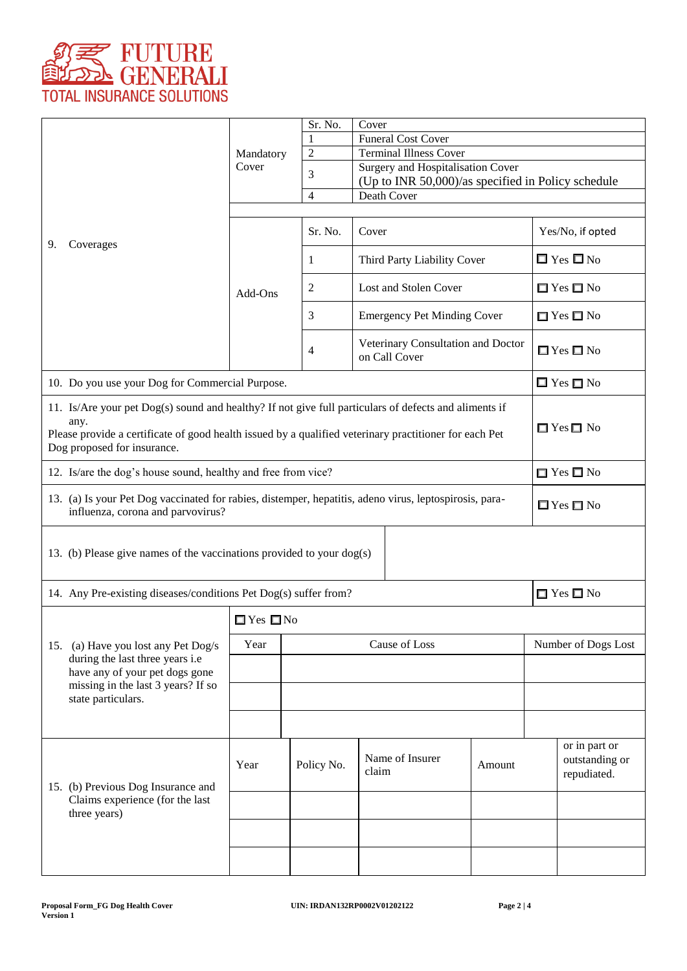

|                                                                                                                                               |                                                                                                       | Sr. No.        | Cover                                                      |  |                     |                      |                                                |  |
|-----------------------------------------------------------------------------------------------------------------------------------------------|-------------------------------------------------------------------------------------------------------|----------------|------------------------------------------------------------|--|---------------------|----------------------|------------------------------------------------|--|
|                                                                                                                                               | Mandatory                                                                                             | $\overline{2}$ | <b>Funeral Cost Cover</b><br><b>Terminal Illness Cover</b> |  |                     |                      |                                                |  |
|                                                                                                                                               | Cover                                                                                                 |                | Surgery and Hospitalisation Cover                          |  |                     |                      |                                                |  |
|                                                                                                                                               |                                                                                                       | 3              | (Up to INR 50,000)/as specified in Policy schedule         |  |                     |                      |                                                |  |
|                                                                                                                                               |                                                                                                       | $\overline{4}$ | Death Cover                                                |  |                     |                      |                                                |  |
|                                                                                                                                               |                                                                                                       |                |                                                            |  |                     |                      |                                                |  |
| Coverages<br>9.                                                                                                                               |                                                                                                       | Sr. No.        | Cover                                                      |  |                     | Yes/No, if opted     |                                                |  |
|                                                                                                                                               | Add-Ons                                                                                               | 1              | Third Party Liability Cover                                |  |                     | $\Box$ Yes $\Box$ No |                                                |  |
|                                                                                                                                               |                                                                                                       | $\overline{c}$ | Lost and Stolen Cover                                      |  |                     | $\Box$ Yes $\Box$ No |                                                |  |
|                                                                                                                                               |                                                                                                       | 3              | <b>Emergency Pet Minding Cover</b>                         |  |                     | $\Box$ Yes $\Box$ No |                                                |  |
|                                                                                                                                               |                                                                                                       | 4              | Veterinary Consultation and Doctor<br>on Call Cover        |  |                     | $\Box$ Yes $\Box$ No |                                                |  |
|                                                                                                                                               | 10. Do you use your Dog for Commercial Purpose.                                                       |                |                                                            |  |                     |                      | $\Box$ Yes $\Box$ No                           |  |
|                                                                                                                                               | 11. Is/Are your pet Dog(s) sound and healthy? If not give full particulars of defects and aliments if |                |                                                            |  |                     |                      |                                                |  |
| any.<br>Please provide a certificate of good health issued by a qualified veterinary practitioner for each Pet<br>Dog proposed for insurance. |                                                                                                       |                |                                                            |  |                     | $\Box$ Yes $\Box$ No |                                                |  |
| 12. Is/are the dog's house sound, healthy and free from vice?                                                                                 |                                                                                                       |                |                                                            |  |                     | $\Box$ Yes $\Box$ No |                                                |  |
| 13. (a) Is your Pet Dog vaccinated for rabies, distemper, hepatitis, adeno virus, leptospirosis, para-<br>influenza, corona and parvovirus?   |                                                                                                       |                |                                                            |  |                     | $\Box$ Yes $\Box$ No |                                                |  |
| 13. (b) Please give names of the vaccinations provided to your $\log(s)$                                                                      |                                                                                                       |                |                                                            |  |                     |                      |                                                |  |
| 14. Any Pre-existing diseases/conditions Pet Dog(s) suffer from?<br>$\Box$ Yes $\Box$ No                                                      |                                                                                                       |                |                                                            |  |                     |                      |                                                |  |
|                                                                                                                                               | $\Box$ Yes $\Box$ No                                                                                  |                |                                                            |  |                     |                      |                                                |  |
| 15. (a) Have you lost any Pet Dog/s                                                                                                           | Cause of Loss<br>Year                                                                                 |                |                                                            |  | Number of Dogs Lost |                      |                                                |  |
| during the last three years i.e<br>have any of your pet dogs gone                                                                             |                                                                                                       |                |                                                            |  |                     |                      |                                                |  |
| missing in the last 3 years? If so<br>state particulars.                                                                                      |                                                                                                       |                |                                                            |  |                     |                      |                                                |  |
|                                                                                                                                               |                                                                                                       |                |                                                            |  |                     |                      |                                                |  |
| 15. (b) Previous Dog Insurance and                                                                                                            | Year                                                                                                  | Policy No.     | Name of Insurer<br>Amount<br>claim                         |  |                     |                      | or in part or<br>outstanding or<br>repudiated. |  |
| Claims experience (for the last<br>three years)                                                                                               |                                                                                                       |                |                                                            |  |                     |                      |                                                |  |
|                                                                                                                                               |                                                                                                       |                |                                                            |  |                     |                      |                                                |  |
|                                                                                                                                               |                                                                                                       |                |                                                            |  |                     |                      |                                                |  |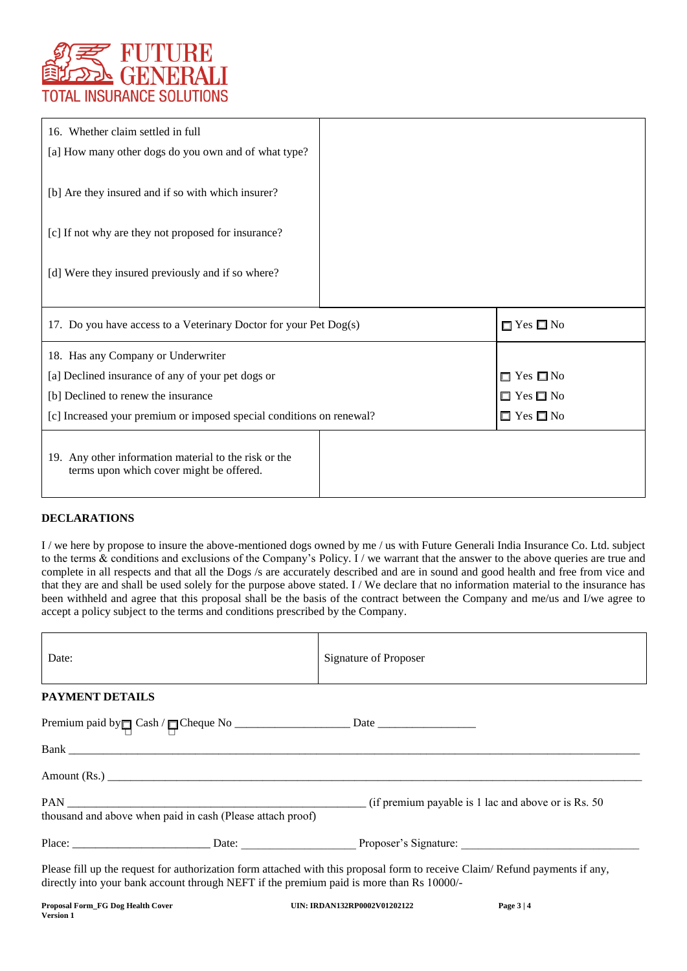

| 16. Whether claim settled in full                                                                 |                      |
|---------------------------------------------------------------------------------------------------|----------------------|
| [a] How many other dogs do you own and of what type?                                              |                      |
| [b] Are they insured and if so with which insurer?                                                |                      |
| [c] If not why are they not proposed for insurance?                                               |                      |
| [d] Were they insured previously and if so where?                                                 |                      |
| 17. Do you have access to a Veterinary Doctor for your Pet Dog(s)                                 | $\Box$ Yes $\Box$ No |
| 18. Has any Company or Underwriter                                                                |                      |
| [a] Declined insurance of any of your pet dogs or                                                 | $\Box$ Yes $\Box$ No |
| [b] Declined to renew the insurance                                                               | $\Box$ Yes $\Box$ No |
| [c] Increased your premium or imposed special conditions on renewal?                              | $\Box$ Yes $\Box$ No |
| 19. Any other information material to the risk or the<br>terms upon which cover might be offered. |                      |

# **DECLARATIONS**

I / we here by propose to insure the above-mentioned dogs owned by me / us with Future Generali India Insurance Co. Ltd. subject to the terms & conditions and exclusions of the Company's Policy. I / we warrant that the answer to the above queries are true and complete in all respects and that all the Dogs /s are accurately described and are in sound and good health and free from vice and that they are and shall be used solely for the purpose above stated. I / We declare that no information material to the insurance has been withheld and agree that this proposal shall be the basis of the contract between the Company and me/us and I/we agree to accept a policy subject to the terms and conditions prescribed by the Company.

| Date:                                                      | Signature of Proposer |
|------------------------------------------------------------|-----------------------|
| <b>PAYMENT DETAILS</b>                                     |                       |
|                                                            |                       |
|                                                            |                       |
| Amount (Rs.)                                               |                       |
| thousand and above when paid in cash (Please attach proof) |                       |
|                                                            |                       |

Please fill up the request for authorization form attached with this proposal form to receive Claim/ Refund payments if any, directly into your bank account through NEFT if the premium paid is more than Rs 10000/-